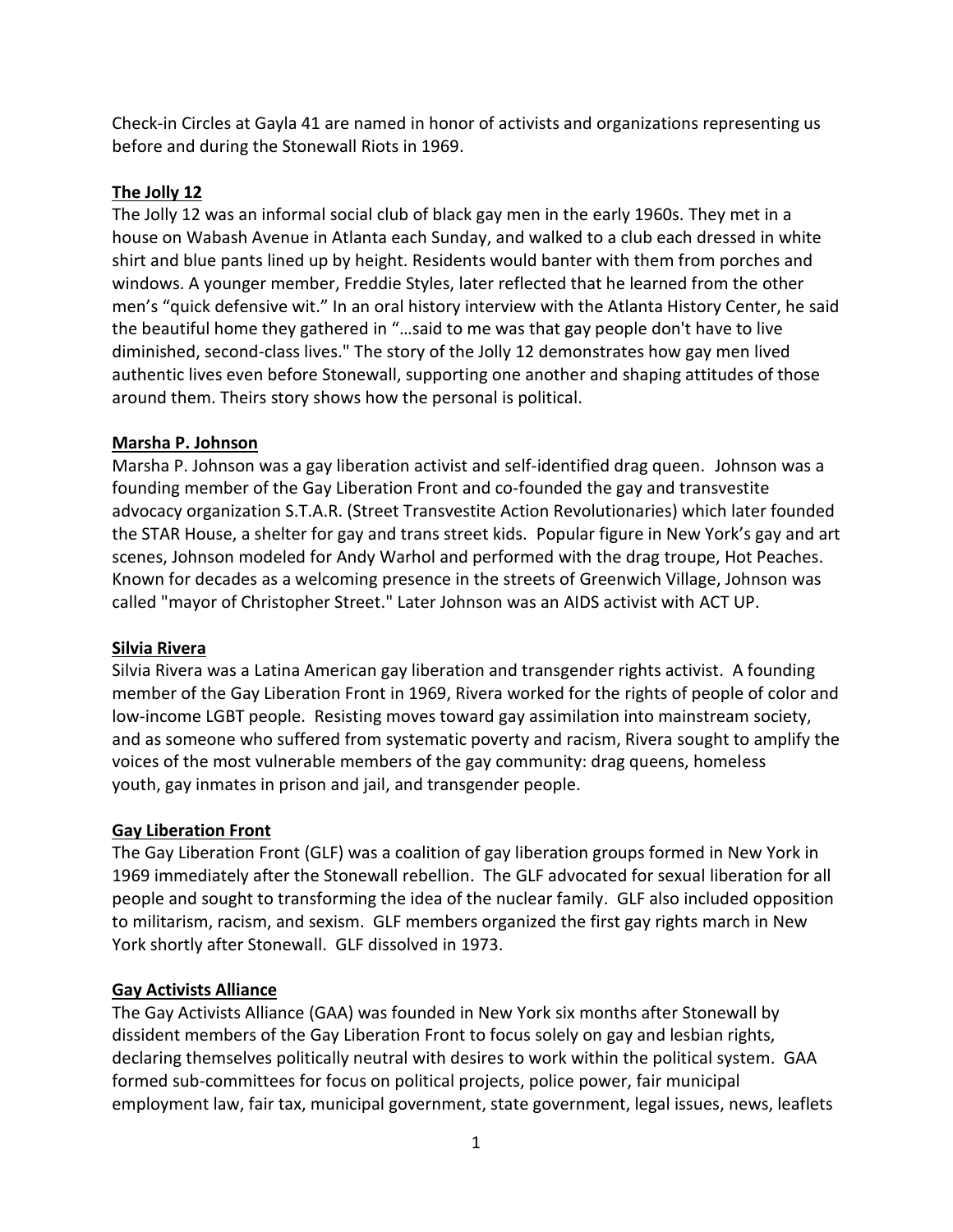Check-in Circles at Gayla 41 are named in honor of activists and organizations representing us before and during the Stonewall Riots in 1969.

# **The Jolly 12**

The Jolly 12 was an informal social club of black gay men in the early 1960s. They met in a house on Wabash Avenue in Atlanta each Sunday, and walked to a club each dressed in white shirt and blue pants lined up by height. Residents would banter with them from porches and windows. A younger member, Freddie Styles, later reflected that he learned from the other men's "quick defensive wit." In an oral history interview with the Atlanta History Center, he said the beautiful home they gathered in "…said to me was that gay people don't have to live diminished, second-class lives." The story of the Jolly 12 demonstrates how gay men lived authentic lives even before Stonewall, supporting one another and shaping attitudes of those around them. Theirs story shows how the personal is political.

# **Marsha P. Johnson**

Marsha P. Johnson was a gay liberation activist and self-identified drag queen. Johnson was a founding member of the Gay Liberation Front and co-founded the gay and transvestite advocacy organization S.T.A.R. [\(Street Transvestite Action Revolutionaries\)](https://en.wikipedia.org/wiki/Street_Transvestite_Action_Revolutionaries) which later founded the STAR House, a shelter for gay and trans street kids. Popular figure in New York's gay and art scenes, Johnson modeled for Andy Warhol and performed with the drag troupe, Hot Peaches. Known for decades as a welcoming presence in the streets of Greenwich Village, Johnson was called "mayor of Christopher Street." Later Johnson was an AIDS activist with ACT UP.

# **Silvia Rivera**

Silvia Rivera was a Latina American [gay liberation](https://en.wikipedia.org/wiki/Gay_liberation) and [transgender rights activist.](https://en.wikipedia.org/wiki/Transgender_activism) A founding member of the [Gay Liberation Front](https://en.wikipedia.org/wiki/Gay_Liberation_Front) in 1969, Rivera worked for the rights of people of color and low-income LGBT people. Resisting moves toward gay assimilation into mainstream society, and as someone who suffered from systematic poverty and racism, Rivera sought to amplify the voices of the most vulnerable members of the gay community: drag queens, homeless youth, [gay inmates in prison and jail,](https://en.wikipedia.org/wiki/LGBT_people_in_prison) and transgender people.

# **Gay Liberation Front**

The Gay Liberation Front (GLF) was a coalition of gay liberation groups formed in New York in 1969 immediately after the Stonewall rebellion. The GLF advocated for sexual liberation for all people and sought to transforming the idea of the nuclear family. GLF also included opposition to militarism, racism, and sexism. GLF members organized the first gay rights march in New York shortly after Stonewall. GLF dissolved in 1973.

# **Gay Activists Alliance**

The Gay Activists Alliance (GAA) was founded in New York six months after Stonewall by dissident members of the Gay Liberation Front to focus solely on gay and lesbian rights, declaring themselves politically neutral with desires to work within the political system. GAA formed sub-committees for focus on political projects, police power, fair municipal employment law, fair tax, municipal government, state government, legal issues, news, leaflets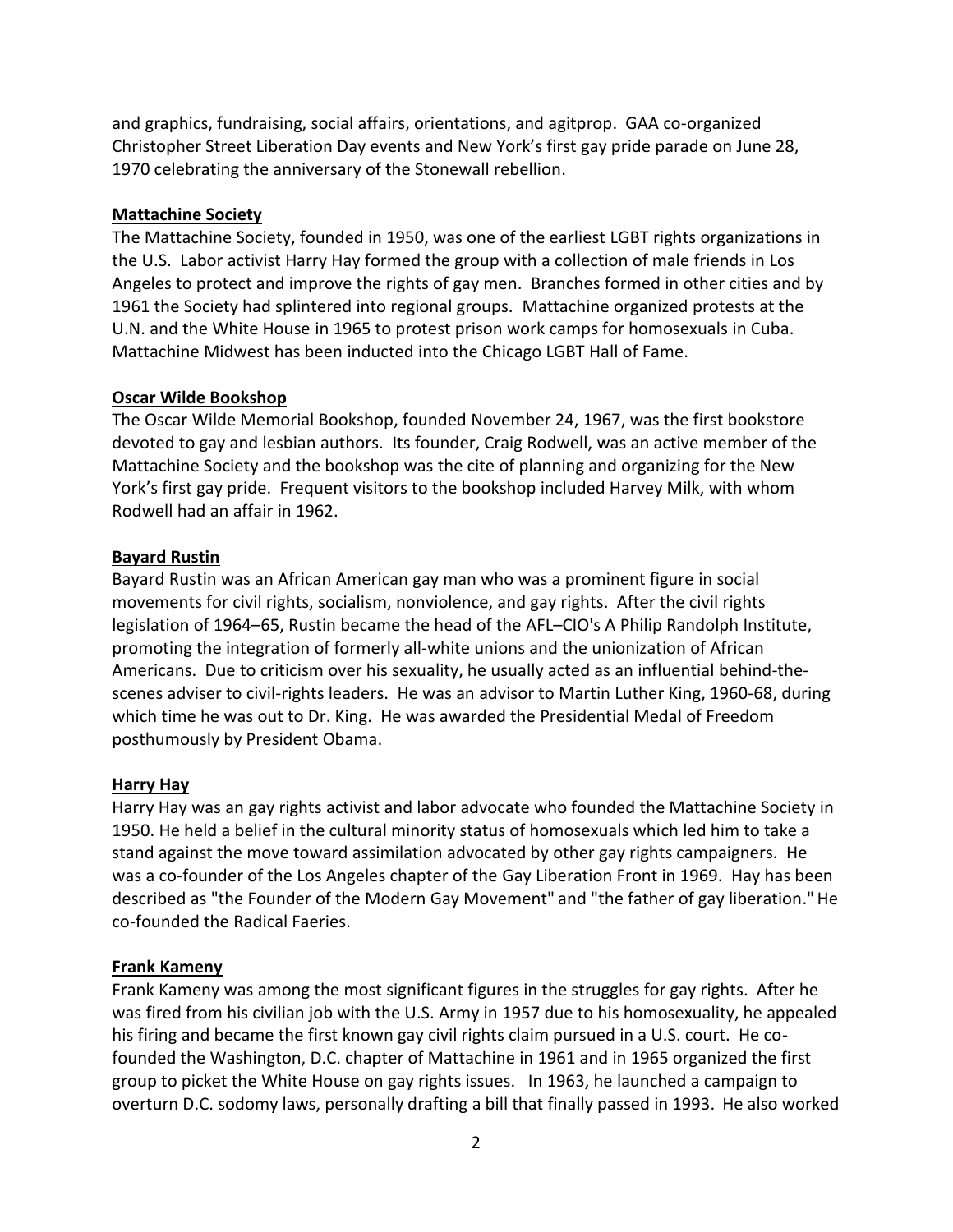and graphics, fundraising, social affairs, orientations, and agitprop. GAA co-organized Christopher Street Liberation Day events and New York's first gay pride parade on June 28, 1970 celebrating the anniversary of the Stonewall rebellion.

## **Mattachine Society**

The Mattachine Society, founded in 1950, was one of the earliest LGBT rights organizations in the U.S. Labor activist Harry Hay formed the group with a collection of male friends in Los Angeles to protect and improve the rights of gay men. Branches formed in other cities and by 1961 the Society had splintered into regional groups. Mattachine organized protests at the U.N. and the White House in 1965 to protest prison work camps for homosexuals in Cuba. Mattachine Midwest has been inducted into the Chicago LGBT Hall of Fame.

#### **Oscar Wilde Bookshop**

The Oscar Wilde Memorial Bookshop, founded November 24, 1967, was the first bookstore devoted to gay and lesbian authors. Its founder, Craig Rodwell, was an active member of the Mattachine Society and the bookshop was the cite of planning and organizing for the New York's first gay pride. Frequent visitors to the bookshop included Harvey Milk, with whom Rodwell had an affair in 1962.

## **Bayard Rustin**

Bayard Rustin was an African American gay man who was a prominent figure in social movements for civil rights, socialism, nonviolence, and gay rights. After the civil rights legislation of 1964–65, Rustin became the head of the AFL–CIO's A Philip Randolph Institute, promoting the integration of formerly all-white unions and the unionization of African Americans. Due to criticism over his sexuality, he usually acted as an influential behind-thescenes adviser to civil-rights leaders. He was an advisor to Martin Luther King, 1960-68, during which time he was out to Dr. King. He was awarded the Presidential Medal of Freedom posthumously by President Obama.

#### **Harry Hay**

Harry Hay was an gay rights activist and labor advocate who founded the Mattachine Society in 1950. He held a belief in the cultural minority status of homosexuals which led him to take a stand against the move toward assimilation advocated by other gay rights campaigners. He was a co-founder of the Los Angeles chapter of the Gay Liberation Front in 1969. Hay has been described as "the Founder of the Modern Gay Movement" and "the father of gay liberation."He co-founded the Radical Faeries.

# **Frank Kameny**

Frank Kameny was among the most significant figures in the struggles for gay rights. After he was fired from his civilian job with the U.S. Army in 1957 due to his homosexuality, he appealed his firing and became the first known gay civil rights claim pursued in a U.S. court. He cofounded the Washington, D.C. chapter of Mattachine in 1961 and in 1965 organized the first group to picket the White House on gay rights issues. In 1963, he launched a campaign to overturn D.C. sodomy laws, personally drafting a bill that finally passed in 1993. He also worked